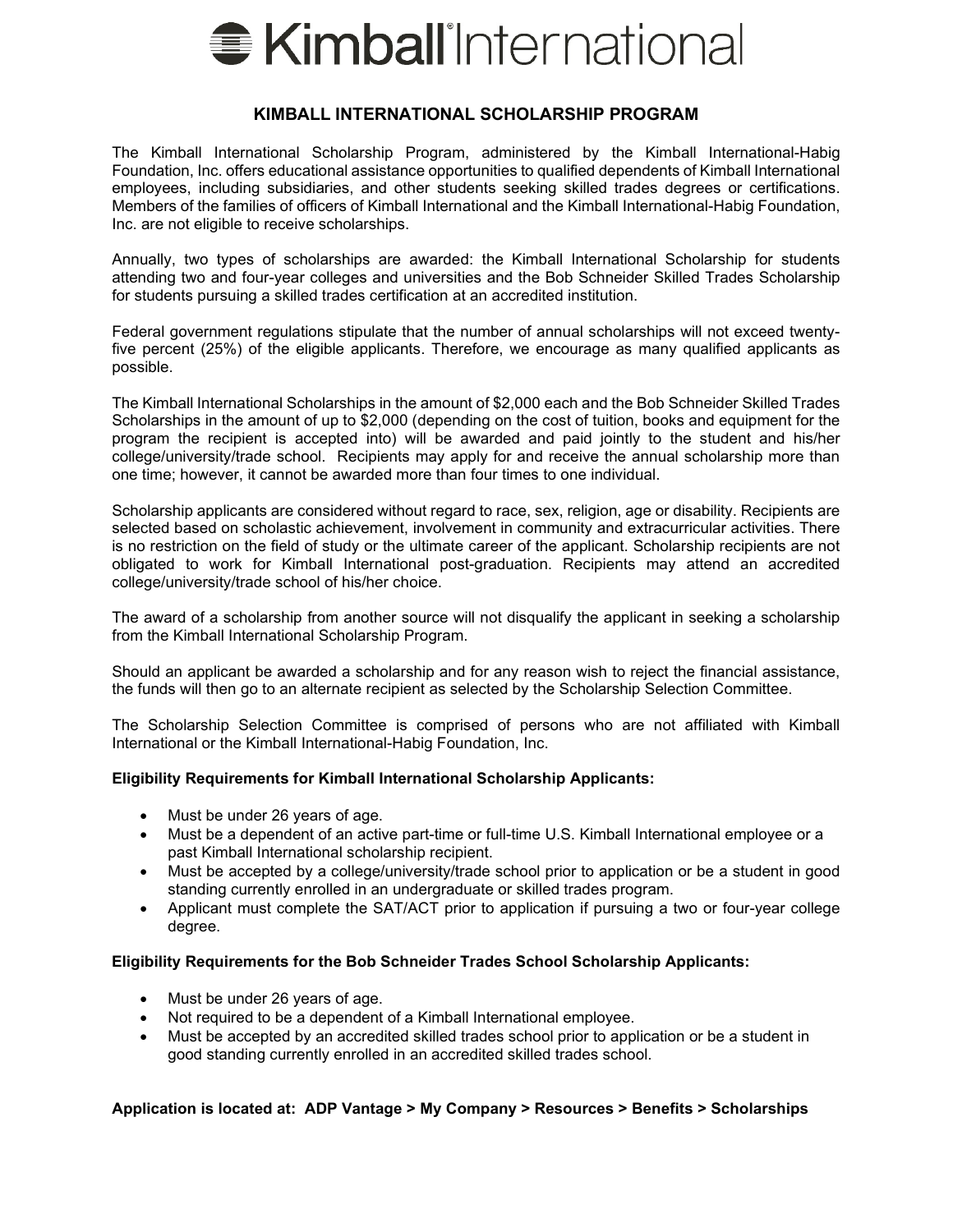

#### **KIMBALL INTERNATIONAL SCHOLARSHIP PROGRAM**

The Kimball International Scholarship Program, administered by the Kimball International-Habig Foundation, Inc. offers educational assistance opportunities to qualified dependents of Kimball International employees, including subsidiaries, and other students seeking skilled trades degrees or certifications. Members of the families of officers of Kimball International and the Kimball International-Habig Foundation, Inc. are not eligible to receive scholarships.

Annually, two types of scholarships are awarded: the Kimball International Scholarship for students attending two and four-year colleges and universities and the Bob Schneider Skilled Trades Scholarship for students pursuing a skilled trades certification at an accredited institution.

Federal government regulations stipulate that the number of annual scholarships will not exceed twentyfive percent (25%) of the eligible applicants. Therefore, we encourage as many qualified applicants as possible.

The Kimball International Scholarships in the amount of \$2,000 each and the Bob Schneider Skilled Trades Scholarships in the amount of up to \$2,000 (depending on the cost of tuition, books and equipment for the program the recipient is accepted into) will be awarded and paid jointly to the student and his/her college/university/trade school. Recipients may apply for and receive the annual scholarship more than one time; however, it cannot be awarded more than four times to one individual.

Scholarship applicants are considered without regard to race, sex, religion, age or disability. Recipients are selected based on scholastic achievement, involvement in community and extracurricular activities. There is no restriction on the field of study or the ultimate career of the applicant. Scholarship recipients are not obligated to work for Kimball International post-graduation. Recipients may attend an accredited college/university/trade school of his/her choice.

The award of a scholarship from another source will not disqualify the applicant in seeking a scholarship from the Kimball International Scholarship Program.

Should an applicant be awarded a scholarship and for any reason wish to reject the financial assistance, the funds will then go to an alternate recipient as selected by the Scholarship Selection Committee.

The Scholarship Selection Committee is comprised of persons who are not affiliated with Kimball International or the Kimball International-Habig Foundation, Inc.

#### **Eligibility Requirements for Kimball International Scholarship Applicants:**

- Must be under 26 years of age.
- Must be a dependent of an active part-time or full-time U.S. Kimball International employee or a past Kimball International scholarship recipient.
- Must be accepted by a college/university/trade school prior to application or be a student in good standing currently enrolled in an undergraduate or skilled trades program.
- Applicant must complete the SAT/ACT prior to application if pursuing a two or four-year college degree.

#### **Eligibility Requirements for the Bob Schneider Trades School Scholarship Applicants:**

- Must be under 26 years of age.
- Not required to be a dependent of a Kimball International employee.
- Must be accepted by an accredited skilled trades school prior to application or be a student in good standing currently enrolled in an accredited skilled trades school.

#### **Application is located at: ADP Vantage > My Company > Resources > Benefits > Scholarships**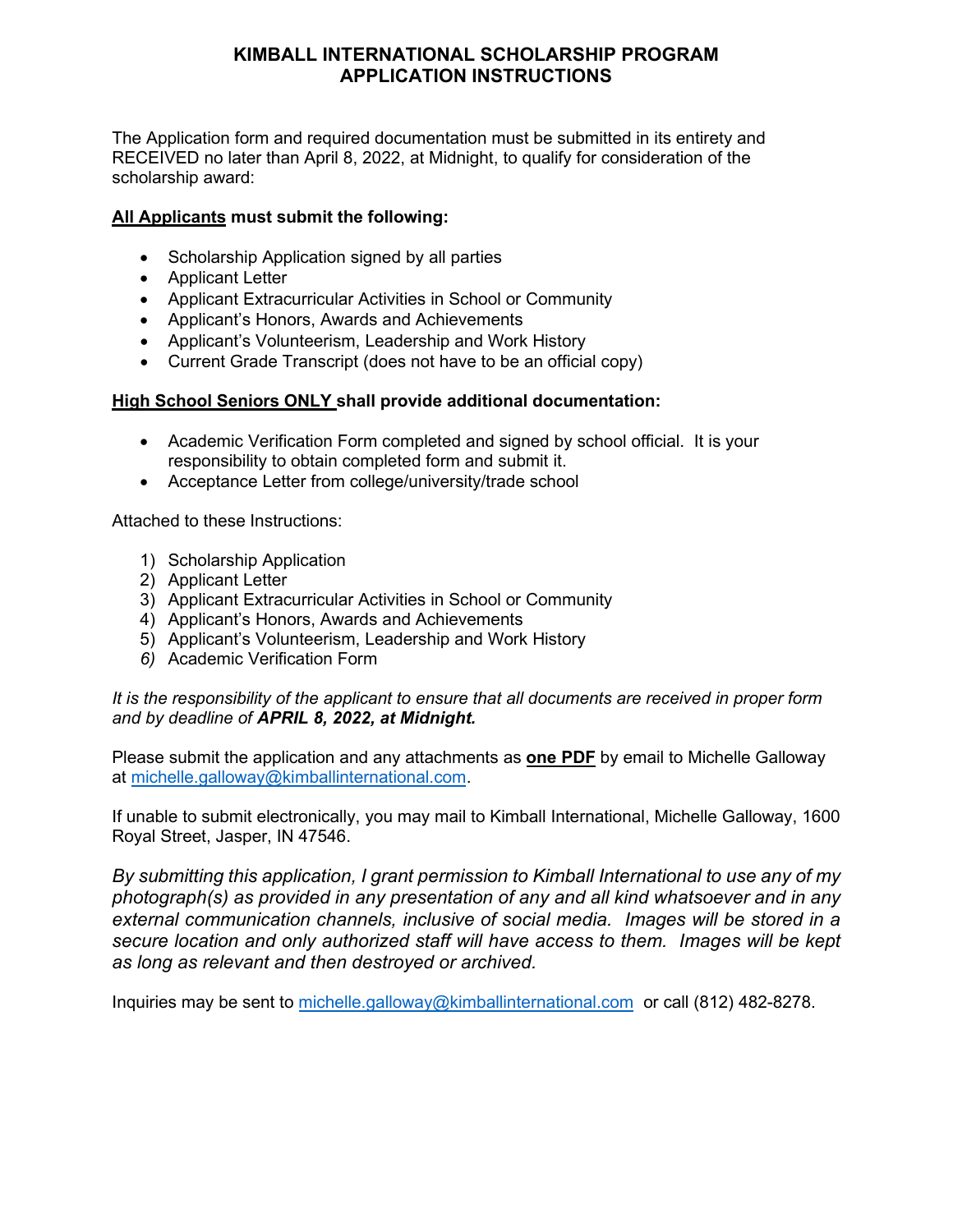## **KIMBALL INTERNATIONAL SCHOLARSHIP PROGRAM APPLICATION INSTRUCTIONS**

The Application form and required documentation must be submitted in its entirety and RECEIVED no later than April 8, 2022, at Midnight, to qualify for consideration of the scholarship award:

### **All Applicants must submit the following:**

- Scholarship Application signed by all parties
- Applicant Letter
- Applicant Extracurricular Activities in School or Community
- Applicant's Honors, Awards and Achievements
- Applicant's Volunteerism, Leadership and Work History
- Current Grade Transcript (does not have to be an official copy)

## **High School Seniors ONLY shall provide additional documentation:**

- Academic Verification Form completed and signed by school official. It is your responsibility to obtain completed form and submit it.
- Acceptance Letter from college/university/trade school

Attached to these Instructions:

- 1) Scholarship Application
- 2) Applicant Letter
- 3) Applicant Extracurricular Activities in School or Community
- 4) Applicant's Honors, Awards and Achievements
- 5) Applicant's Volunteerism, Leadership and Work History
- *6)* Academic Verification Form

*It is the responsibility of the applicant to ensure that all documents are received in proper form and by deadline of APRIL 8, 2022, at Midnight.* 

Please submit the application and any attachments as **one PDF** by email to Michelle Galloway at [michelle.galloway@kimballinternational.com.](mailto:michelle.galloway@kimballinternational.com)

If unable to submit electronically, you may mail to Kimball International, Michelle Galloway, 1600 Royal Street, Jasper, IN 47546.

*By submitting this application, I grant permission to Kimball International to use any of my photograph(s) as provided in any presentation of any and all kind whatsoever and in any external communication channels, inclusive of social media. Images will be stored in a secure location and only authorized staff will have access to them. Images will be kept as long as relevant and then destroyed or archived.*

Inquiries may be sent to [michelle.galloway@kimballinternational.com](mailto:michelle.galloway@kimballinternational.com) or call (812) 482-8278.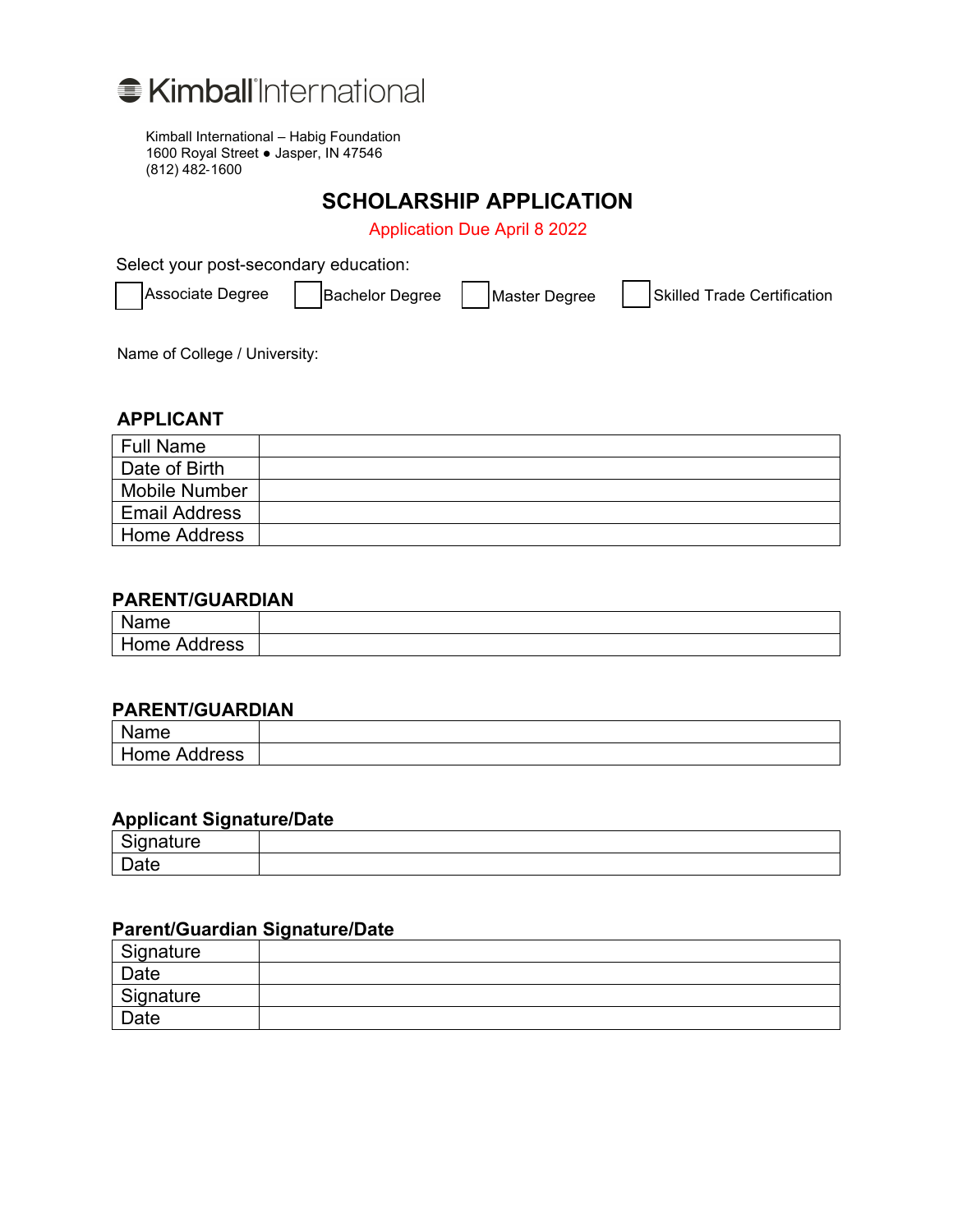

Kimball International – Habig Foundation 1600 Royal Street ● Jasper, IN 47546 (812) 482‐1600

## **SCHOLARSHIP APPLICATION**

Application Due April 8 2022

Select your post-secondary education:

Associate Degree  $\begin{array}{|c|c|c|c|c|}\n\hline\n\end{array}$  Bachelor Degree  $\begin{array}{|c|c|c|c|}\n\hline\n\end{array}$  Associate Certification

Name of College / University:

#### **APPLICANT**

| <b>Full Name</b>     |  |
|----------------------|--|
| Date of Birth        |  |
| <b>Mobile Number</b> |  |
| <b>Email Address</b> |  |
| <b>Home Address</b>  |  |

### **PARENT/GUARDIAN**

| $\mathbf{N}$<br>Name |  |
|----------------------|--|
| Home<br>Address      |  |

### **PARENT/GUARDIAN**

| ___<br>$\mathbf{A}$<br>Jame |  |
|-----------------------------|--|
| me<br>ress<br>Δ.Π<br>. .    |  |

#### **Applicant Signature/Date**

| - |  |
|---|--|
| - |  |

## **Parent/Guardian Signature/Date**

| Signature |  |
|-----------|--|
| Date      |  |
| Signature |  |
| Date      |  |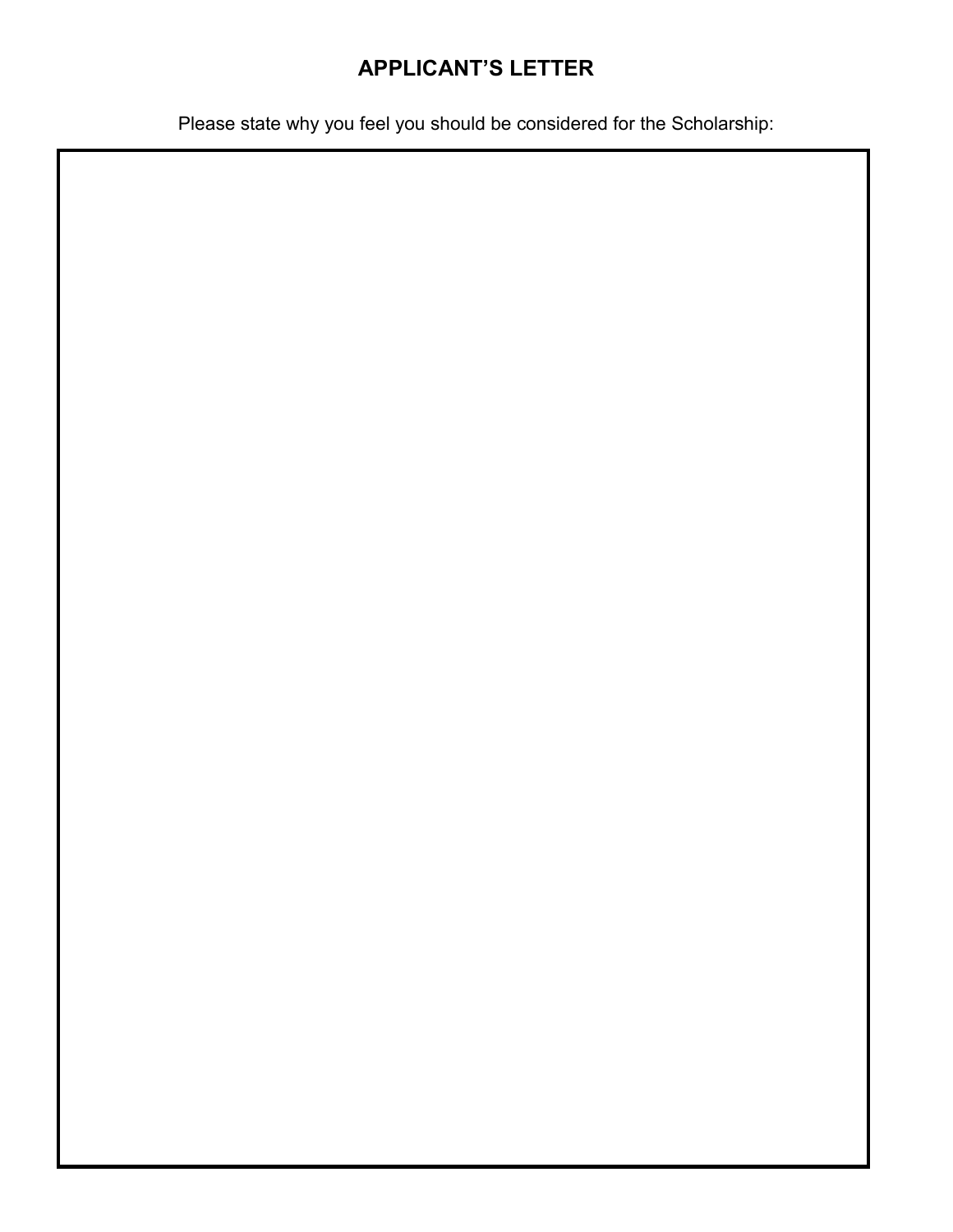# **APPLICANT'S LETTER**

Please state why you feel you should be considered for the Scholarship: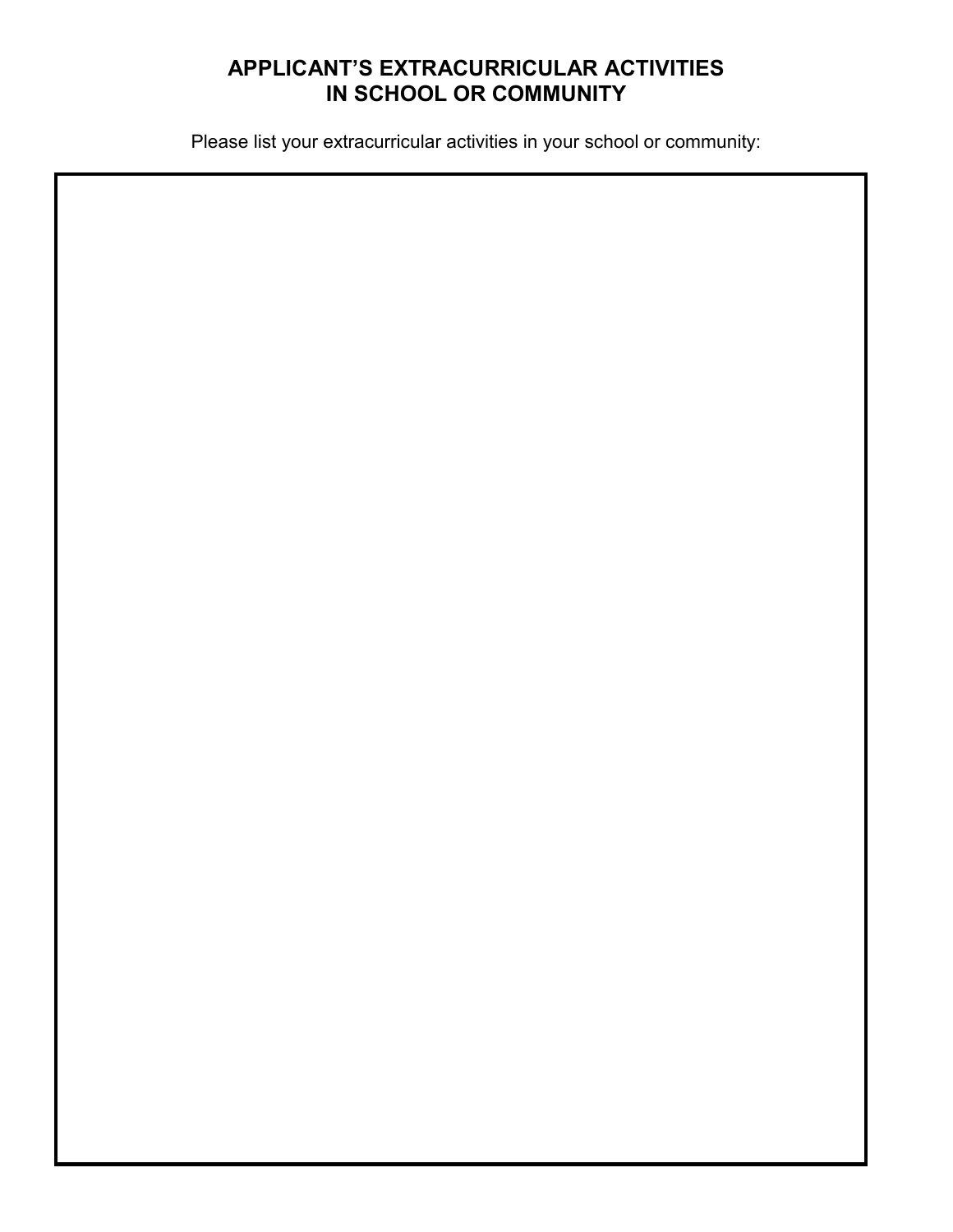# **APPLICANT'S EXTRACURRICULAR ACTIVITIES IN SCHOOL OR COMMUNITY**

Please list your extracurricular activities in your school or community:

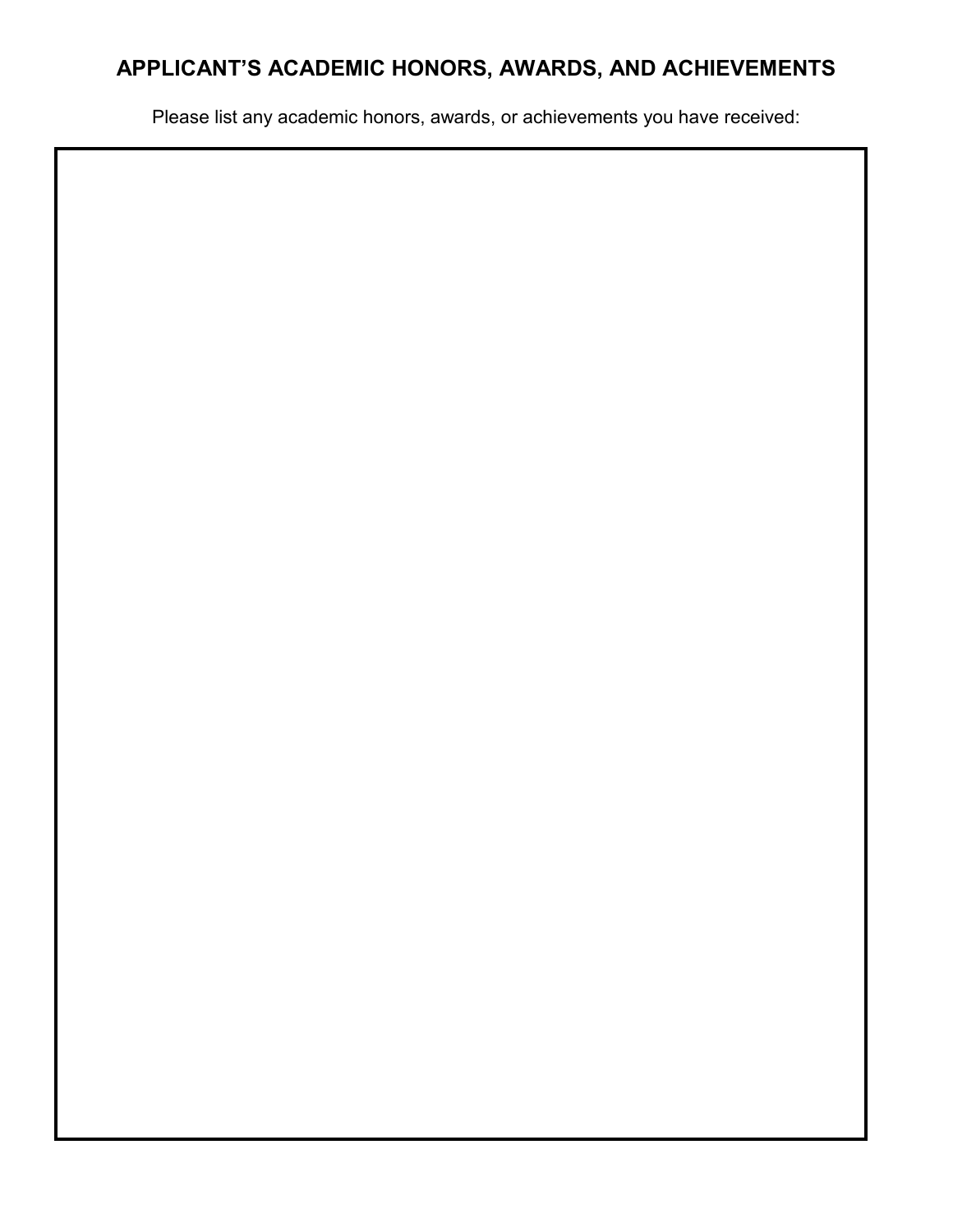# **APPLICANT'S ACADEMIC HONORS, AWARDS, AND ACHIEVEMENTS**

Please list any academic honors, awards, or achievements you have received: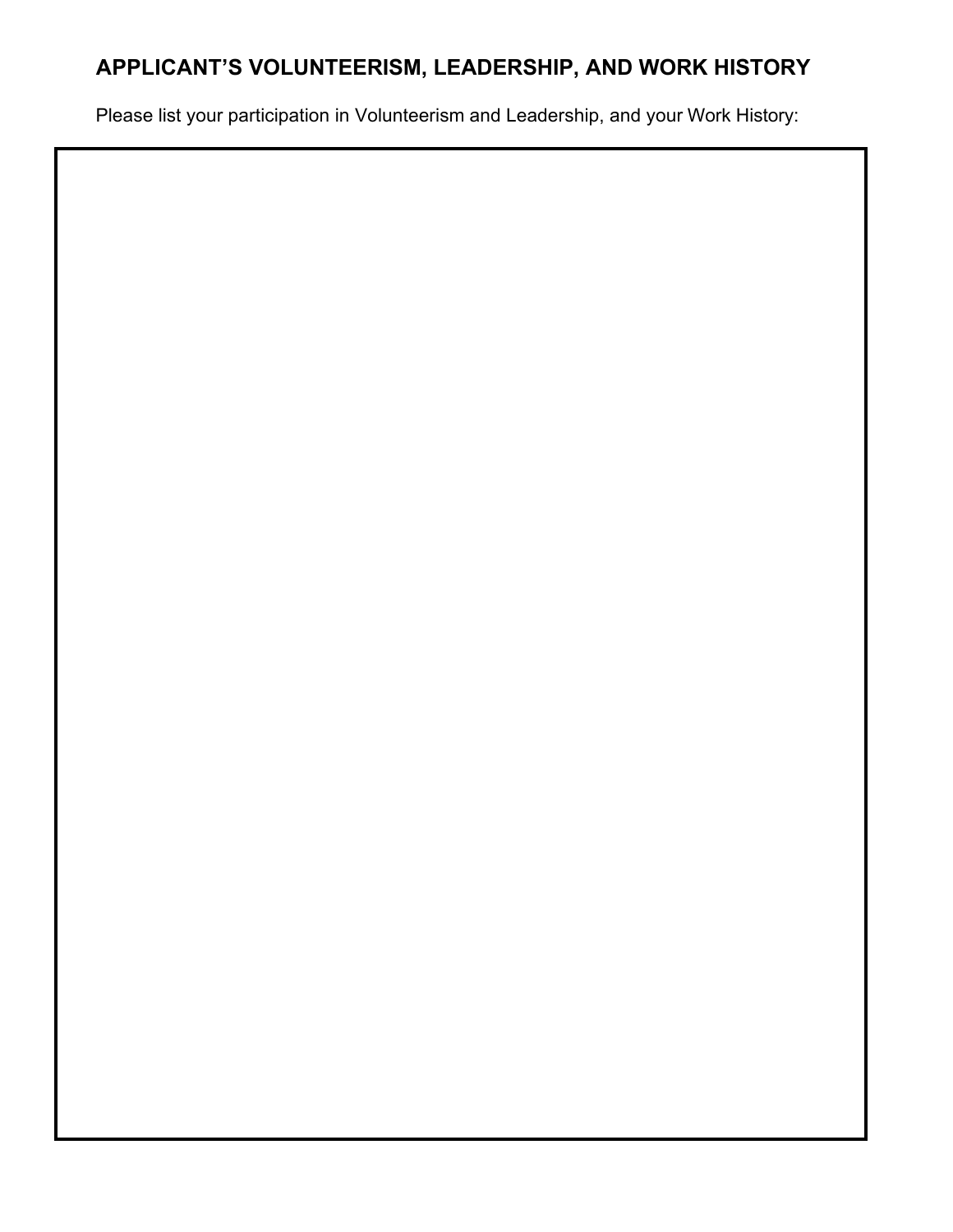# **APPLICANT'S VOLUNTEERISM, LEADERSHIP, AND WORK HISTORY**

Please list your participation in Volunteerism and Leadership, and your Work History: